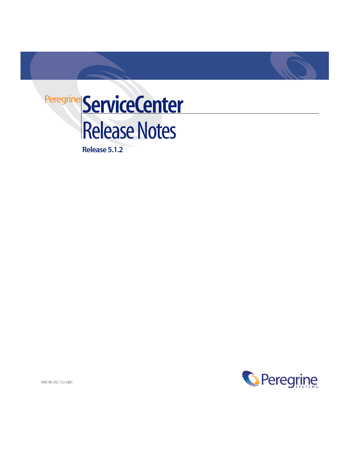

**Release 5.1.2**

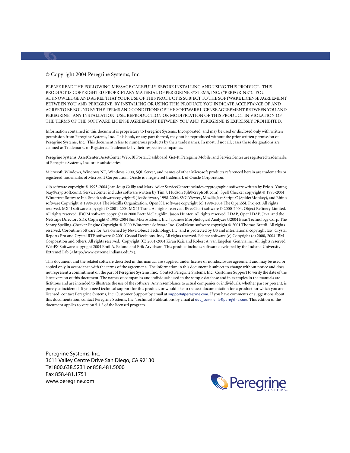PLEASE READ THE FOLLOWING MESSAGE CAREFULLY BEFORE INSTALLING AND USING THIS PRODUCT. THIS PRODUCT IS COPYRIGHTED PROPRIETARY MATERIAL OF PEREGRINE SYSTEMS, INC. ("PEREGRINE"). YOU ACKNOWLEDGE AND AGREE THAT YOUR USE OF THIS PRODUCT IS SUBJECT TO THE SOFTWARE LICENSE AGREEMENT BETWEEN YOU AND PEREGRINE. BY INSTALLING OR USING THIS PRODUCT, YOU INDICATE ACCEPTANCE OF AND AGREE TO BE BOUND BY THE TERMS AND CONDITIONS OF THE SOFTWARE LICENSE AGREEMENT BETWEEN YOU AND PEREGRINE. ANY INSTALLATION, USE, REPRODUCTION OR MODIFICATION OF THIS PRODUCT IN VIOLATION OF THE TERMS OF THE SOFTWARE LICENSE AGREEMENT BETWEEN YOU AND PEREGRINE IS EXPRESSLY PROHIBITED.

Information contained in this document is proprietary to Peregrine Systems, Incorporated, and may be used or disclosed only with written permission from Peregrine Systems, Inc. This book, or any part thereof, may not be reproduced without the prior written permission of Peregrine Systems, Inc. This document refers to numerous products by their trade names. In most, if not all, cases these designations are claimed as Trademarks or Registered Trademarks by their respective companies.

Peregrine Systems, AssetCenter, AssetCenter Web, BI Portal, Dashboard, Get-It, Peregrine Mobile, and ServiceCenter are registered trademarks of Peregrine Systems, Inc. or its subsidiaries.

Microsoft, Windows, Windows NT, Windows 2000, SQL Server, and names of other Microsoft products referenced herein are trademarks or registered trademarks of Microsoft Corporation. Oracle is a registered trademark of Oracle Corporation.

zlib software copyright © 1995-2004 Jean-loup Gailly and Mark Adler ServiceCenter includes cryptographic software written by Eric A. Young (eay@cryptsoft.com). ServiceCenter includes software written by Tim J. Hudson (tjh@cryptsoft.com). Spell Checker copyright © 1995-2004 Wintertree Software Inc. Smack software copyright © Jive Software, 1998-2004. SVG Viewer , Mozilla JavaScript-C (SpiderMonkey), and Rhino software Copyright © 1998-2004 The Mozilla Organization. OpenSSL software copyright (c) 1998-2004 The OpenSSL Project. All rights reserved. MX4J software copyright © 2001-2004 MX4J Team. All rights reserved. JFreeChart software © 2000-2004, Object Refinery Limited. All rights reserved. JDOM software copyright © 2000 Brett McLaughlin, Jason Hunter. All rights reserved. LDAP, OpenLDAP, Java, and the Netscape Directory SDK Copyright © 1995-2004 Sun Microsystems, Inc. Japanese Morphological Analyzer ©2004 Basis Technology Corp. The Sentry Spelling-Checker Engine Copyright © 2000 Wintertree Software Inc. CoolMenu software copyright © 2001 Thomas Brattli. All rights reserved. Coroutine Software for Java owned by Neva Object Technology, Inc. and is protected by US and international copyright law. Crystal Reports Pro and Crystal RTE software © 2001 Crystal Decisions, Inc., All rights reserved. Eclipse software (c) Copyright (c) 2000, 2004 IBM Corporation and others. All rights reserved. Copyright (C) 2001-2004 Kiran Kaja and Robert A. van Engelen, Genivia inc. All rights reserved. WebFX Software copyright 2004 Emil A. Eklund and Erik Arvidsson. This product includes software developed by the Indiana University Extreme! Lab (<http://www.extreme.indiana.edu/>).

This document and the related software described in this manual are supplied under license or nondisclosure agreement and may be used or copied only in accordance with the terms of the agreement. The information in this document is subject to change without notice and does not represent a commitment on the part of Peregrine Systems, Inc. Contact Peregrine Systems, Inc., Customer Support to verify the date of the latest version of this document. The names of companies and individuals used in the sample database and in examples in the manuals are fictitious and are intended to illustrate the use of the software. Any resemblance to actual companies or individuals, whether past or present, is purely coincidental. If you need technical support for this product, or would like to request documentation for a product for which you are licensed, contact Peregrine Systems, Inc. Customer Support by email at [support@peregrine.com](mailto:support@peregrine.com). If you have comments or suggestions about this documentation, contact Peregrine Systems, Inc. Technical Publications by email at [doc\\_comments@peregrine.com](mailto:doc_comments@peregrine.com). This edition of the document applies to version 5.1.2 of the licensed program.

Peregrine Systems, Inc. 3611 Valley Centre Drive San Diego, CA 92130 Tel 800.638.5231 or 858.481.5000 Fax 858.481.1751 www.peregrine.com

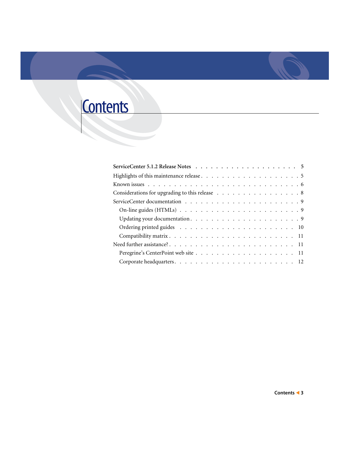# **Contents**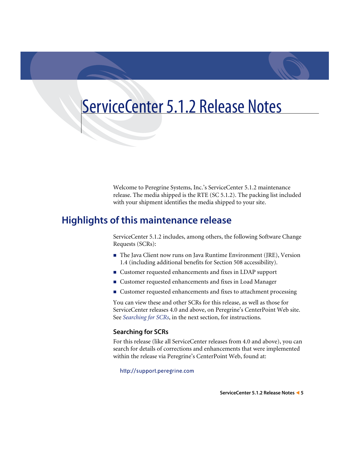# <span id="page-4-0"></span>ServiceCenter 5.1.2 Release Notes

Welcome to Peregrine Systems, Inc.'s ServiceCenter 5.1.2 maintenance release. The media shipped is the RTE (SC 5.1.2). The packing list included with your shipment identifies the media shipped to your site.

# <span id="page-4-1"></span>**Highlights of this maintenance release**

ServiceCenter 5.1.2 includes, among others, the following Software Change Requests (SCRs):

- The Java Client now runs on Java Runtime Environment (JRE), Version 1.4 (including additional benefits for Section 508 accessibility).
- Customer requested enhancements and fixes in LDAP support
- Customer requested enhancements and fixes in Load Manager
- Customer requested enhancements and fixes to attachment processing

You can view these and other SCRs for this release, as well as those for ServiceCenter releases 4.0 and above, on Peregrine's CenterPoint Web site. See *[Searching for SCRs](#page-4-2)*, in the next section, for instructions.

### <span id="page-4-2"></span>**Searching for SCRs**

For this release (like all ServiceCenter releases from 4.0 and above), you can search for details of corrections and enhancements that were implemented within the release via Peregrine's CenterPoint Web, found at:

<http://support.peregrine.com>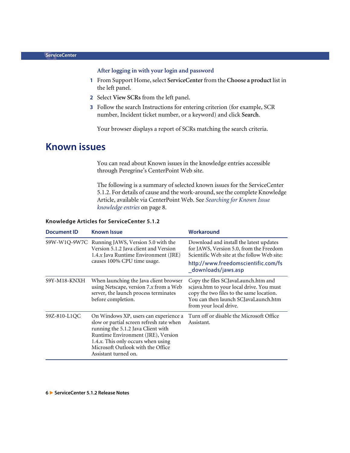### **After logging in with your login and password**

- **1** From Support Home, select **ServiceCenter** from the **Choose a product** list in the left panel.
- **2** Select **View SCRs** from the left panel.
- **3** Follow the search Instructions for entering criterion (for example, SCR number, Incident ticket number, or a keyword) and click **Search**.

Your browser displays a report of SCRs matching the search criteria.

# <span id="page-5-0"></span>**Known issues**

You can read about Known issues in the knowledge entries accessible through Peregrine's CenterPoint Web site.

The following is a summary of selected known issues for the ServiceCenter 5.1.2. For details of cause and the work-around, see the complete Knowledge Article, available via CenterPoint Web. See *[Searching for Known Issue](#page-7-1)  [knowledge entries](#page-7-1)* on page 8.

| <b>Document ID</b> | <b>Known Issue</b>                                                                                                                                                                                                                                               | Workaround                                                                                                                                                                                     |
|--------------------|------------------------------------------------------------------------------------------------------------------------------------------------------------------------------------------------------------------------------------------------------------------|------------------------------------------------------------------------------------------------------------------------------------------------------------------------------------------------|
|                    | S9W-W1Q-9W7C Running JAWS, Version 5.0 with the<br>Version 5.1.2 Java client and Version<br>1.4.x Java Runtime Environment (JRE)<br>causes 100% CPU time usage.                                                                                                  | Download and install the latest updates<br>for JAWS, Version 5.0, from the Freedom<br>Scientific Web site at the follow Web site:<br>http://www.freedomscientific.com/fs<br>downloads/jaws.asp |
| S9Y-M18-KNXH       | When launching the Java client browser<br>using Netscape, version $7.x$ from a Web<br>server, the launch process terminates<br>before completion.                                                                                                                | Copy the files SCJavaLaunch.htm and<br>scjava.htm to your local drive. You must<br>copy the two files to the same location.<br>You can then launch SCJavaLaunch.htm<br>from your local drive.  |
| S9Z-810-L1OC       | On Windows XP, users can experience a<br>slow or partial screen refresh rate when<br>running the 5.1.2 Java Client with<br>Runtime Environment (JRE), Version<br>1.4.x. This only occurs when using<br>Microsoft Outlook with the Office<br>Assistant turned on. | Turn off or disable the Microsoft Office<br>Assistant.                                                                                                                                         |

#### **Knowledge Articles for ServiceCenter 5.1.2**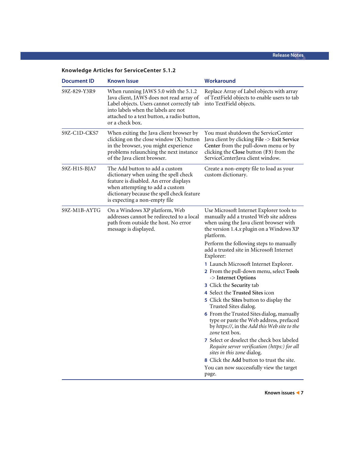| <b>Document ID</b> | <b>Known Issue</b>                                                                                                                                                                                                                    | Workaround                                                                                                                                                                                                 |
|--------------------|---------------------------------------------------------------------------------------------------------------------------------------------------------------------------------------------------------------------------------------|------------------------------------------------------------------------------------------------------------------------------------------------------------------------------------------------------------|
| S9Z-829-Y3R9       | When running JAWS 5.0 with the 5.1.2<br>Java client, JAWS does not read array of<br>Label objects. Users cannot correctly tab<br>into labels when the labels are not<br>attached to a text button, a radio button,<br>or a check box. | Replace Array of Label objects with array<br>of TextField objects to enable users to tab<br>into TextField objects.                                                                                        |
| S9Z-C1D-CKS7       | When exiting the Java client browser by<br>clicking on the close window $(X)$ button<br>in the browser, you might experience<br>problems relaunching the next instance<br>of the Java client browser.                                 | You must shutdown the ServiceCenter<br>Java client by clicking File -> Exit Service<br>Center from the pull-down menu or by<br>clicking the Close button (F3) from the<br>ServiceCenterJava client window. |
| S9Z-H1S-BJA7       | The Add button to add a custom<br>dictionary when using the spell check<br>feature is disabled. An error displays<br>when attempting to add a custom<br>dictionary because the spell check feature<br>is expecting a non-empty file   | Create a non-empty file to load as your<br>custom dictionary.                                                                                                                                              |
| S9Z-M1B-AYTG       | On a Windows XP platform, Web<br>addresses cannot be redirected to a local<br>path from outside the host. No error<br>message is displayed.                                                                                           | Use Microsoft Internet Explorer tools to<br>manually add a trusted Web site address<br>when using the Java client browser with<br>the version 1.4.x plugin on a Windows XP<br>platform.                    |
|                    |                                                                                                                                                                                                                                       | Perform the following steps to manually<br>add a trusted site in Microsoft Internet<br>Explorer:                                                                                                           |
|                    |                                                                                                                                                                                                                                       | 1 Launch Microsoft Internet Explorer.<br>2 From the pull-down menu, select Tools<br>-> Internet Options                                                                                                    |
|                    |                                                                                                                                                                                                                                       | 3 Click the Security tab<br>4 Select the Trusted Sites icon                                                                                                                                                |
|                    |                                                                                                                                                                                                                                       | 5 Click the Sites button to display the<br>Trusted Sites dialog.                                                                                                                                           |
|                    |                                                                                                                                                                                                                                       | 6 From the Trusted Sites dialog, manually<br>type or paste the Web address, prefaced<br>by https://, in the Add this Web site to the<br><i>zone</i> text box.                                              |
|                    |                                                                                                                                                                                                                                       | 7 Select or deselect the check box labeled<br>Require server verification (https:) for all<br>sites in this zone dialog.                                                                                   |
|                    |                                                                                                                                                                                                                                       | 8 Click the Add button to trust the site.                                                                                                                                                                  |
|                    |                                                                                                                                                                                                                                       | You can now successfully view the target<br>page.                                                                                                                                                          |

## **Knowledge Articles for ServiceCenter 5.1.2**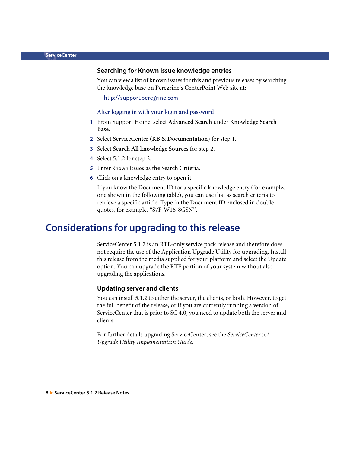#### <span id="page-7-1"></span>**Searching for Known Issue knowledge entries**

You can view a list of known issues for this and previous releases by searching the knowledge base on Peregrine's CenterPoint Web site at:

<http://support.peregrine.com>

#### **After logging in with your login and password**

- **1** From Support Home, select **Advanced Search** under **Knowledge Search Base**.
- **2** Select **ServiceCenter (KB & Documentation)** for step 1.
- **3** Select **Search All knowledge Sources** for step 2.
- **4** Select 5.1.2 for step 2.
- **5** Enter Known Issues as the Search Criteria.
- **6** Click on a knowledge entry to open it.

If you know the Document ID for a specific knowledge entry (for example, one shown in the following table), you can use that as search criteria to retrieve a specific article. Type in the Document ID enclosed in double quotes, for example, "S7F-W16-8GSN".

# <span id="page-7-0"></span>**Considerations for upgrading to this release**

ServiceCenter 5.1.2 is an RTE-only service pack release and therefore does not require the use of the Application Upgrade Utility for upgrading. Install this release from the media supplied for your platform and select the Update option. You can upgrade the RTE portion of your system without also upgrading the applications.

#### **Updating server and clients**

You can install 5.1.2 to either the server, the clients, or both. However, to get the full benefit of the release, or if you are currently running a version of ServiceCenter that is prior to SC 4.0, you need to update both the server and clients.

For further details upgrading ServiceCenter, see the *ServiceCenter 5.1 Upgrade Utility Implementation Guide*.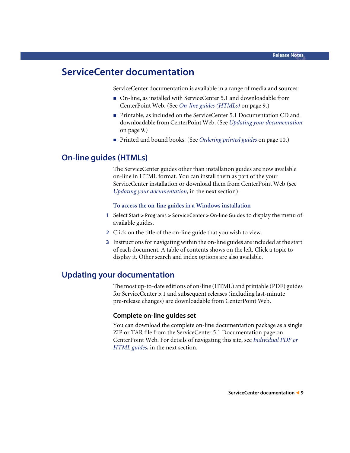# <span id="page-8-0"></span>**ServiceCenter documentation**

ServiceCenter documentation is available in a range of media and sources:

- On-line, as installed with ServiceCenter 5.1 and downloadable from CenterPoint Web. (See *[On-line guides \(HTMLs\)](#page-8-1)* on page 9.)
- Printable, as included on the ServiceCenter 5.1 Documentation CD and downloadable from CenterPoint Web. (See *[Updating your documentation](#page-8-2)* [on page 9](#page-8-2).)
- Printed and bound books. (See *[Ordering printed guides](#page-9-0)* on page 10.)

## <span id="page-8-1"></span>**On-line guides (HTMLs)**

The ServiceCenter guides other than installation guides are now available on-line in HTML format. You can install them as part of the your ServiceCenter installation or download them from CenterPoint Web (see *[Updating your documentation](#page-8-2)*, in the next section).

#### **To access the on-line guides in a Windows installation**

- **1** Select Start > Programs > ServiceCenter > On-line Guides to display the menu of available guides.
- **2** Click on the title of the on-line guide that you wish to view.
- **3** Instructions for navigating within the on-line guides are included at the start of each document. A table of contents shows on the left. Click a topic to display it. Other search and index options are also available.

## <span id="page-8-2"></span>**Updating your documentation**

The most up-to-date editions of on-line (HTML) and printable (PDF) guides for ServiceCenter 5.1 and subsequent releases (including last-minute pre-release changes) are downloadable from CenterPoint Web.

#### **Complete on-line guides set**

You can download the complete on-line documentation package as a single ZIP or TAR file from the ServiceCenter 5.1 Documentation page on CenterPoint Web. For details of navigating this site, see *[Individual PDF or](#page-9-1)  [HTML guides](#page-9-1)*, in the next section.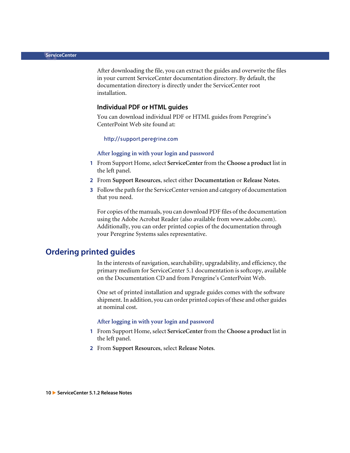After downloading the file, you can extract the guides and overwrite the files in your current ServiceCenter documentation directory. By default, the documentation directory is directly under the ServiceCenter root installation.

#### <span id="page-9-1"></span>**Individual PDF or HTML guides**

You can download individual PDF or HTML guides from Peregrine's CenterPoint Web site found at:

#### <http://support.peregrine.com>

#### **After logging in with your login and password**

- **1** From Support Home, select **ServiceCenter** from the **Choose a product** list in the left panel.
- **2** From **Support Resources**, select either **Documentation** or **Release Notes**.
- **3** Follow the path for the ServiceCenter version and category of documentation that you need.

For copies of the manuals, you can download PDF files of the documentation using the Adobe Acrobat Reader (also available from www.adobe.com). Additionally, you can order printed copies of the documentation through your Peregrine Systems sales representative.

## <span id="page-9-0"></span>**Ordering printed guides**

In the interests of navigation, searchability, upgradability, and efficiency, the primary medium for ServiceCenter 5.1 documentation is softcopy, available on the Documentation CD and from Peregrine's CenterPoint Web.

One set of printed installation and upgrade guides comes with the software shipment. In addition, you can order printed copies of these and other guides at nominal cost.

#### **After logging in with your login and password**

- **1** From Support Home, select **ServiceCenter** from the **Choose a product** list in the left panel.
- **2** From **Support Resources**, select **Release Notes**.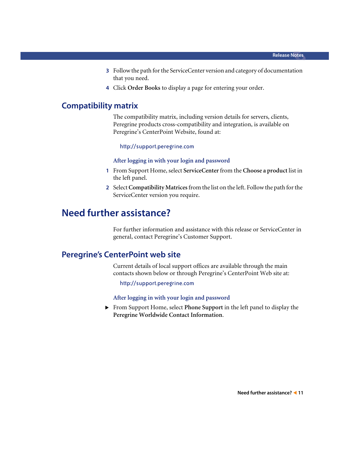- **3** Follow the path for the ServiceCenter version and category of documentation that you need.
- **4** Click **Order Books** to display a page for entering your order.

## <span id="page-10-0"></span>**Compatibility matrix**

The compatibility matrix, including version details for servers, clients, Peregrine products cross-compatibility and integration, is available on Peregrine's CenterPoint Website, found at:

<http://support.peregrine.com>

#### **After logging in with your login and password**

- **1** From Support Home, select **ServiceCenter** from the **Choose a product** list in the left panel.
- **2** Select **Compatibility Matrices** from the list on the left. Follow the path for the ServiceCenter version you require.

# <span id="page-10-1"></span>**Need further assistance?**

For further information and assistance with this release or ServiceCenter in general, contact Peregrine's Customer Support.

## <span id="page-10-2"></span>**Peregrine's CenterPoint web site**

Current details of local support offices are available through the main contacts shown below or through Peregrine's CenterPoint Web site at:

<http://support.peregrine.com>

**After logging in with your login and password**

X From Support Home, select **Phone Support** in the left panel to display the **Peregrine Worldwide Contact Information**.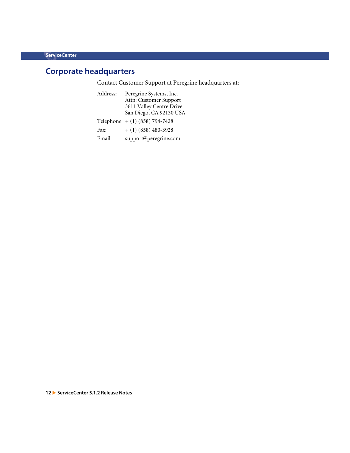# <span id="page-11-0"></span>**Corporate headquarters**

Contact Customer Support at Peregrine headquarters at:

| Address: | Peregrine Systems, Inc.          |
|----------|----------------------------------|
|          | Attn: Customer Support           |
|          | 3611 Valley Centre Drive         |
|          | San Diego, CA 92130 USA          |
|          | Telephone $+ (1) (858) 794-7428$ |
| Fax:     | $+ (1) (858) 480 - 3928$         |
| Email:   | support@peregrine.com            |